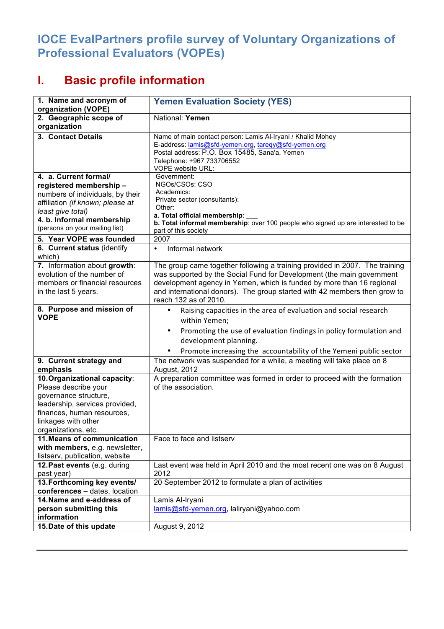## **IOCE EvalPartners profile survey of Voluntary Organizations of Professional Evaluators (VOPEs)**

## **I. Basic profile information**

| 1. Name and acronym of<br>organization (VOPE)                                                                                                                                                               | <b>Yemen Evaluation Society (YES)</b>                                                                                                                                                                                                                                                                                               |
|-------------------------------------------------------------------------------------------------------------------------------------------------------------------------------------------------------------|-------------------------------------------------------------------------------------------------------------------------------------------------------------------------------------------------------------------------------------------------------------------------------------------------------------------------------------|
| 2. Geographic scope of<br>organization                                                                                                                                                                      | National: Yemen                                                                                                                                                                                                                                                                                                                     |
| 3. Contact Details                                                                                                                                                                                          | Name of main contact person: Lamis Al-Iryani / Khalid Mohey<br>E-address: lamis@sfd-yemen.org, tareqy@sfd-yemen.org<br>Postal address: P.O. Box 15485, Sana'a, Yemen<br>Telephone: +967 733706552<br>VOPE website URL:                                                                                                              |
| 4. a. Current formal/<br>registered membership-<br>numbers of individuals, by their<br>affiliation (if known; please at<br>least give total)<br>4. b. Informal membership<br>(persons on your mailing list) | Government:<br>NGOs/CSOs: CSO<br>Academics:<br>Private sector (consultants):<br>Other:<br>a. Total official membership:<br>b. Total informal membership: over 100 people who signed up are interested to be<br>part of this society                                                                                                 |
| 5. Year VOPE was founded                                                                                                                                                                                    | 2007                                                                                                                                                                                                                                                                                                                                |
| 6. Current status (identify<br>which)                                                                                                                                                                       | Informal network<br>$\bullet$                                                                                                                                                                                                                                                                                                       |
| 7. Information about growth:<br>evolution of the number of<br>members or financial resources<br>in the last 5 years.                                                                                        | The group came together following a training provided in 2007. The training<br>was supported by the Social Fund for Development (the main government<br>development agency in Yemen, which is funded by more than 16 regional<br>and international donors). The group started with 42 members then grow to<br>reach 132 as of 2010. |
| 8. Purpose and mission of<br><b>VOPE</b>                                                                                                                                                                    | Raising capacities in the area of evaluation and social research<br>$\bullet$<br>within Yemen;<br>Promoting the use of evaluation findings in policy formulation and<br>$\bullet$<br>development planning.<br>Promote increasing the accountability of the Yemeni public sector                                                     |
| 9. Current strategy and<br>emphasis                                                                                                                                                                         | The network was suspended for a while, a meeting will take place on 8<br><b>August, 2012</b>                                                                                                                                                                                                                                        |
| 10. Organizational capacity:<br>Please describe your<br>governance structure,<br>leadership, services provided,<br>finances, human resources,<br>linkages with other<br>organizations, etc.                 | A preparation committee was formed in order to proceed with the formation<br>of the association.                                                                                                                                                                                                                                    |
| 11. Means of communication                                                                                                                                                                                  | Face to face and listserv                                                                                                                                                                                                                                                                                                           |
| with members, e.g. newsletter,<br>listserv, publication, website                                                                                                                                            |                                                                                                                                                                                                                                                                                                                                     |
| 12. Past events (e.g. during<br>past year)                                                                                                                                                                  | Last event was held in April 2010 and the most recent one was on 8 August<br>2012                                                                                                                                                                                                                                                   |
| 13. Forthcoming key events/<br>conferences - dates, location                                                                                                                                                | 20 September 2012 to formulate a plan of activities                                                                                                                                                                                                                                                                                 |
| 14. Name and e-address of<br>person submitting this<br>information                                                                                                                                          | Lamis Al-Iryani<br>lamis@sfd-yemen.org, laliryani@yahoo.com                                                                                                                                                                                                                                                                         |
| 15. Date of this update                                                                                                                                                                                     | August 9, 2012                                                                                                                                                                                                                                                                                                                      |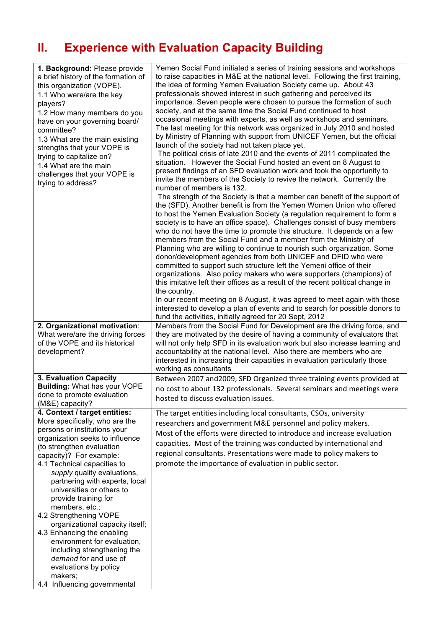## **II. Experience with Evaluation Capacity Building**

| 1. Background: Please provide<br>a brief history of the formation of<br>this organization (VOPE).<br>1.1 Who were/are the key<br>players?<br>1.2 How many members do you<br>have on your governing board/<br>committee?<br>1.3 What are the main existing<br>strengths that your VOPE is<br>trying to capitalize on?<br>1.4 What are the main<br>challenges that your VOPE is<br>trying to address?                                                                                                                                                                                                                     | Yemen Social Fund initiated a series of training sessions and workshops<br>to raise capacities in M&E at the national level. Following the first training,<br>the idea of forming Yemen Evaluation Society came up. About 43<br>professionals showed interest in such gathering and perceived its<br>importance. Seven people were chosen to pursue the formation of such<br>society, and at the same time the Social Fund continued to host<br>occasional meetings with experts, as well as workshops and seminars.<br>The last meeting for this network was organized in July 2010 and hosted<br>by Ministry of Planning with support from UNICEF Yemen, but the official<br>launch of the society had not taken place yet.<br>The political crisis of late 2010 and the events of 2011 complicated the<br>situation. However the Social Fund hosted an event on 8 August to<br>present findings of an SFD evaluation work and took the opportunity to<br>invite the members of the Society to revive the network. Currently the<br>number of members is 132.<br>The strength of the Society is that a member can benefit of the support of<br>the (SFD). Another benefit is from the Yemen Women Union who offered<br>to host the Yemen Evaluation Society (a regulation requirement to form a<br>society is to have an office space). Challenges consist of busy members<br>who do not have the time to promote this structure. It depends on a few<br>members from the Social Fund and a member from the Ministry of<br>Planning who are willing to continue to nourish such organization. Some<br>donor/development agencies from both UNICEF and DFID who were<br>committed to support such structure left the Yemeni office of their<br>organizations. Also policy makers who were supporters (champions) of<br>this imitative left their offices as a result of the recent political change in<br>the country.<br>In our recent meeting on 8 August, it was agreed to meet again with those<br>interested to develop a plan of events and to search for possible donors to<br>fund the activities, initially agreed for 20 Sept, 2012 |
|-------------------------------------------------------------------------------------------------------------------------------------------------------------------------------------------------------------------------------------------------------------------------------------------------------------------------------------------------------------------------------------------------------------------------------------------------------------------------------------------------------------------------------------------------------------------------------------------------------------------------|------------------------------------------------------------------------------------------------------------------------------------------------------------------------------------------------------------------------------------------------------------------------------------------------------------------------------------------------------------------------------------------------------------------------------------------------------------------------------------------------------------------------------------------------------------------------------------------------------------------------------------------------------------------------------------------------------------------------------------------------------------------------------------------------------------------------------------------------------------------------------------------------------------------------------------------------------------------------------------------------------------------------------------------------------------------------------------------------------------------------------------------------------------------------------------------------------------------------------------------------------------------------------------------------------------------------------------------------------------------------------------------------------------------------------------------------------------------------------------------------------------------------------------------------------------------------------------------------------------------------------------------------------------------------------------------------------------------------------------------------------------------------------------------------------------------------------------------------------------------------------------------------------------------------------------------------------------------------------------------------------------------------------------------------------------------------------------------------------------------------------------------------|
| 2. Organizational motivation:<br>What were/are the driving forces<br>of the VOPE and its historical<br>development?                                                                                                                                                                                                                                                                                                                                                                                                                                                                                                     | Members from the Social Fund for Development are the driving force, and<br>they are motivated by the desire of having a community of evaluators that<br>will not only help SFD in its evaluation work but also increase learning and<br>accountability at the national level. Also there are members who are<br>interested in increasing their capacities in evaluation particularly those<br>working as consultants                                                                                                                                                                                                                                                                                                                                                                                                                                                                                                                                                                                                                                                                                                                                                                                                                                                                                                                                                                                                                                                                                                                                                                                                                                                                                                                                                                                                                                                                                                                                                                                                                                                                                                                           |
| 3. Evaluation Capacity<br><b>Building: What has your VOPE</b><br>done to promote evaluation<br>(M&E) capacity?                                                                                                                                                                                                                                                                                                                                                                                                                                                                                                          | Between 2007 and 2009, SFD Organized three training events provided at<br>no cost to about 132 professionals. Several seminars and meetings were<br>hosted to discuss evaluation issues.                                                                                                                                                                                                                                                                                                                                                                                                                                                                                                                                                                                                                                                                                                                                                                                                                                                                                                                                                                                                                                                                                                                                                                                                                                                                                                                                                                                                                                                                                                                                                                                                                                                                                                                                                                                                                                                                                                                                                       |
| 4. Context / target entities:<br>More specifically, who are the<br>persons or institutions your<br>organization seeks to influence<br>(to strengthen evaluation<br>capacity)? For example:<br>4.1 Technical capacities to<br>supply quality evaluations,<br>partnering with experts, local<br>universities or others to<br>provide training for<br>members, etc.;<br>4.2 Strengthening VOPE<br>organizational capacity itself;<br>4.3 Enhancing the enabling<br>environment for evaluation,<br>including strengthening the<br>demand for and use of<br>evaluations by policy<br>makers;<br>4.4 Influencing governmental | The target entities including local consultants, CSOs, university<br>researchers and government M&E personnel and policy makers.<br>Most of the efforts were directed to introduce and increase evaluation<br>capacities. Most of the training was conducted by international and<br>regional consultants. Presentations were made to policy makers to<br>promote the importance of evaluation in public sector.                                                                                                                                                                                                                                                                                                                                                                                                                                                                                                                                                                                                                                                                                                                                                                                                                                                                                                                                                                                                                                                                                                                                                                                                                                                                                                                                                                                                                                                                                                                                                                                                                                                                                                                               |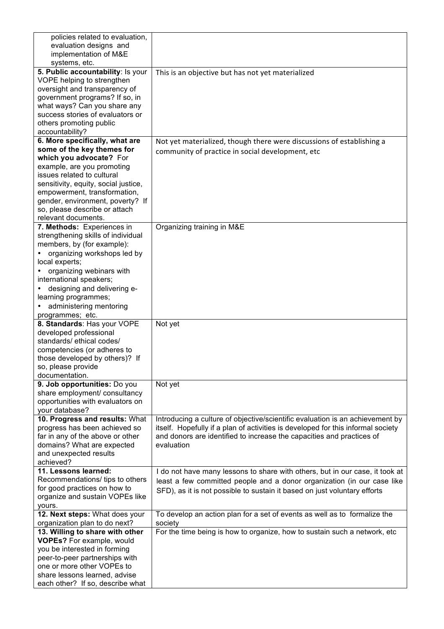| policies related to evaluation,      |                                                                                  |
|--------------------------------------|----------------------------------------------------------------------------------|
| evaluation designs and               |                                                                                  |
| implementation of M&E                |                                                                                  |
| systems, etc.                        |                                                                                  |
| 5. Public accountability: Is your    | This is an objective but has not yet materialized                                |
| VOPE helping to strengthen           |                                                                                  |
| oversight and transparency of        |                                                                                  |
| government programs? If so, in       |                                                                                  |
| what ways? Can you share any         |                                                                                  |
| success stories of evaluators or     |                                                                                  |
| others promoting public              |                                                                                  |
| accountability?                      |                                                                                  |
| 6. More specifically, what are       |                                                                                  |
| some of the key themes for           | Not yet materialized, though there were discussions of establishing a            |
|                                      | community of practice in social development, etc                                 |
| which you advocate? For              |                                                                                  |
| example, are you promoting           |                                                                                  |
| issues related to cultural           |                                                                                  |
| sensitivity, equity, social justice, |                                                                                  |
| empowerment, transformation,         |                                                                                  |
| gender, environment, poverty? If     |                                                                                  |
| so, please describe or attach        |                                                                                  |
| relevant documents.                  |                                                                                  |
| 7. Methods: Experiences in           | Organizing training in M&E                                                       |
| strengthening skills of individual   |                                                                                  |
| members, by (for example):           |                                                                                  |
| organizing workshops led by          |                                                                                  |
| local experts;                       |                                                                                  |
| organizing webinars with             |                                                                                  |
| international speakers;              |                                                                                  |
| designing and delivering e-          |                                                                                  |
| learning programmes;                 |                                                                                  |
| administering mentoring              |                                                                                  |
| programmes; etc.                     |                                                                                  |
| 8. Standards: Has your VOPE          | Not yet                                                                          |
| developed professional               |                                                                                  |
| standards/ ethical codes/            |                                                                                  |
| competencies (or adheres to          |                                                                                  |
| those developed by others)? If       |                                                                                  |
| so, please provide                   |                                                                                  |
| documentation.                       |                                                                                  |
| 9. Job opportunities: Do you         |                                                                                  |
|                                      | Not yet                                                                          |
| share employment/ consultancy        |                                                                                  |
| opportunities with evaluators on     |                                                                                  |
| your database?                       |                                                                                  |
| 10. Progress and results: What       | Introducing a culture of objective/scientific evaluation is an achievement by    |
| progress has been achieved so        | itself. Hopefully if a plan of activities is developed for this informal society |
| far in any of the above or other     | and donors are identified to increase the capacities and practices of            |
| domains? What are expected           | evaluation                                                                       |
| and unexpected results               |                                                                                  |
| achieved?                            |                                                                                  |
| 11. Lessons learned:                 | I do not have many lessons to share with others, but in our case, it took at     |
| Recommendations/ tips to others      | least a few committed people and a donor organization (in our case like          |
| for good practices on how to         | SFD), as it is not possible to sustain it based on just voluntary efforts        |
| organize and sustain VOPEs like      |                                                                                  |
| yours.                               |                                                                                  |
| 12. Next steps: What does your       | To develop an action plan for a set of events as well as to formalize the        |
| organization plan to do next?        | society                                                                          |
| 13. Willing to share with other      | For the time being is how to organize, how to sustain such a network, etc        |
| <b>VOPEs?</b> For example, would     |                                                                                  |
| you be interested in forming         |                                                                                  |
| peer-to-peer partnerships with       |                                                                                  |
| one or more other VOPEs to           |                                                                                  |
| share lessons learned, advise        |                                                                                  |
| each other? If so, describe what     |                                                                                  |